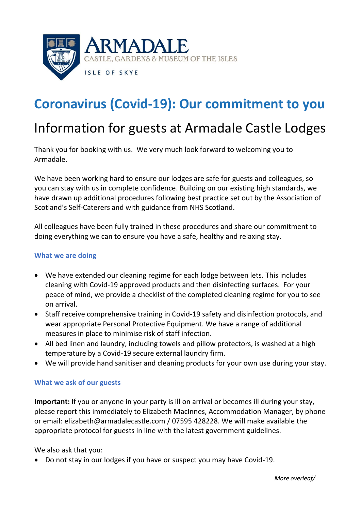

## **Coronavirus (Covid-19): Our commitment to you**

## Information for guests at Armadale Castle Lodges

Thank you for booking with us. We very much look forward to welcoming you to Armadale.

We have been working hard to ensure our lodges are safe for guests and colleagues, so you can stay with us in complete confidence. Building on our existing high standards, we have drawn up additional procedures following best practice set out by the Association of Scotland's Self-Caterers and with guidance from NHS Scotland.

All colleagues have been fully trained in these procedures and share our commitment to doing everything we can to ensure you have a safe, healthy and relaxing stay.

## **What we are doing**

- We have extended our cleaning regime for each lodge between lets. This includes cleaning with Covid-19 approved products and then disinfecting surfaces. For your peace of mind, we provide a checklist of the completed cleaning regime for you to see on arrival.
- Staff receive comprehensive training in Covid-19 safety and disinfection protocols, and wear appropriate Personal Protective Equipment. We have a range of additional measures in place to minimise risk of staff infection.
- All bed linen and laundry, including towels and pillow protectors, is washed at a high temperature by a Covid-19 secure external laundry firm.
- We will provide hand sanitiser and cleaning products for your own use during your stay.

## **What we ask of our guests**

**Important:** If you or anyone in your party is ill on arrival or becomes ill during your stay, please report this immediately to Elizabeth MacInnes, Accommodation Manager, by phone or email: [elizabeth@armadalecastle.com](mailto:elizabeth@armadalecastle.com) / 07595 428228. We will make available the appropriate protocol for guests in line with the latest government guidelines.

We also ask that you:

• Do not stay in our lodges if you have or suspect you may have Covid-19.